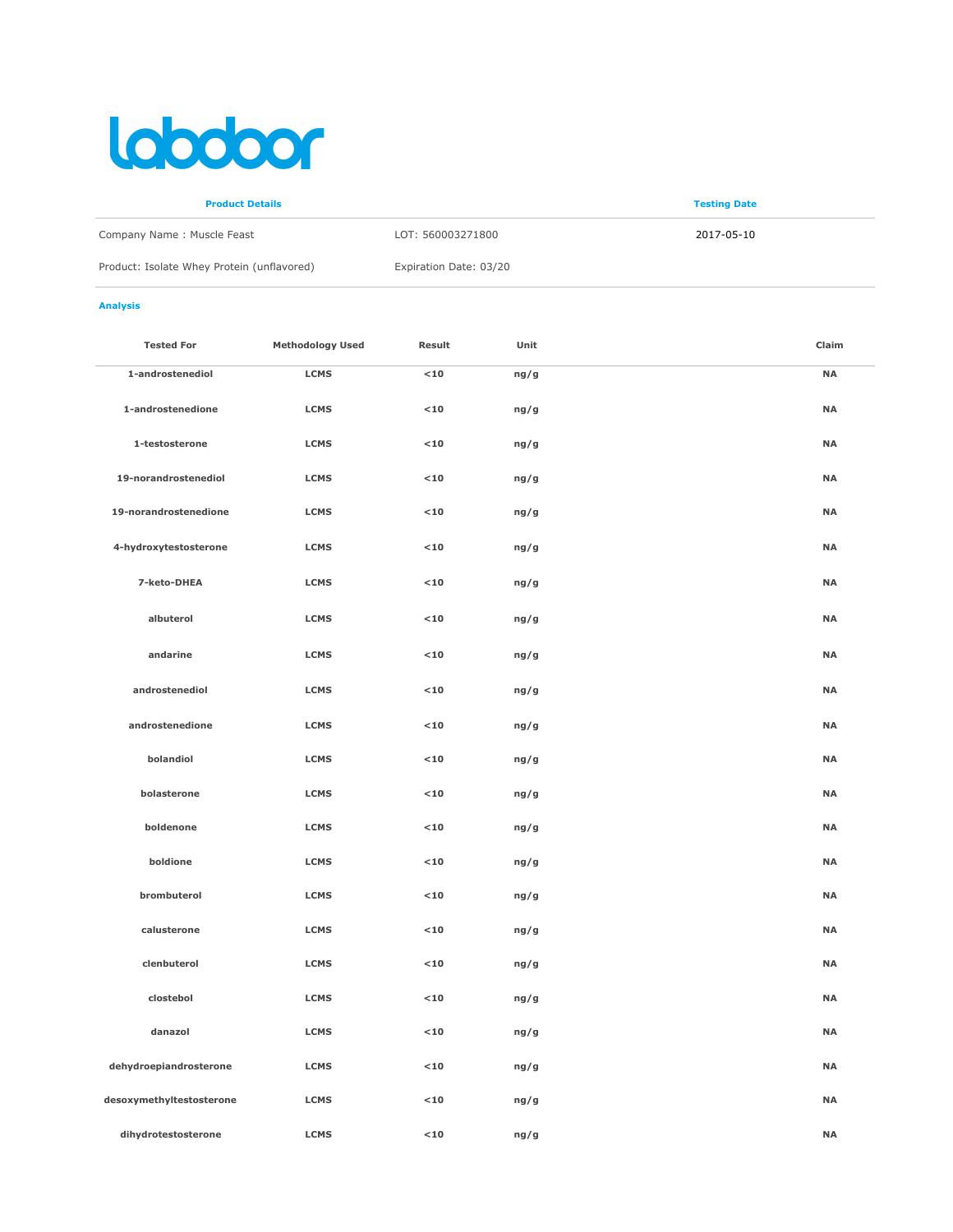## lobotoor

| <b>Product Details</b>                     |                        | <b>Testing Date</b> |
|--------------------------------------------|------------------------|---------------------|
| Company Name: Muscle Feast                 | LOT: 560003271800      | 2017-05-10          |
| Product: Isolate Whey Protein (unflavored) | Expiration Date: 03/20 |                     |

## Analysis

| <b>Tested For</b>        | <b>Methodology Used</b> | Result      | Unit | Claim     |
|--------------------------|-------------------------|-------------|------|-----------|
| 1-androstenediol         | <b>LCMS</b>             | $<$ 10 $\,$ | ng/g | <b>NA</b> |
| 1-androstenedione        | <b>LCMS</b>             | $<$ 10 $\,$ | ng/g | <b>NA</b> |
| 1-testosterone           | <b>LCMS</b>             | $<$ 10 $\,$ | ng/g | <b>NA</b> |
| 19-norandrostenediol     | <b>LCMS</b>             | $<$ 10 $\,$ | ng/g | <b>NA</b> |
| 19-norandrostenedione    | <b>LCMS</b>             | $<$ 10      | ng/g | <b>NA</b> |
| 4-hydroxytestosterone    | <b>LCMS</b>             | $10$        | ng/g | <b>NA</b> |
| 7-keto-DHEA              | <b>LCMS</b>             | $<10$       | ng/g | <b>NA</b> |
| albuterol                | <b>LCMS</b>             | $<10$       | ng/g | <b>NA</b> |
| andarine                 | <b>LCMS</b>             | $<$ 10 $\,$ | ng/g | <b>NA</b> |
| androstenediol           | <b>LCMS</b>             | $<$ 10 $\,$ | ng/g | <b>NA</b> |
| androstenedione          | <b>LCMS</b>             | $<$ 10      | ng/g | <b>NA</b> |
| bolandiol                | <b>LCMS</b>             | $<$ 10 $\,$ | ng/g | <b>NA</b> |
| bolasterone              | <b>LCMS</b>             | $<10$       | ng/g | <b>NA</b> |
| boldenone                | <b>LCMS</b>             | $<10$       | ng/g | <b>NA</b> |
| boldione                 | <b>LCMS</b>             | $<$ 10 $\,$ | ng/g | <b>NA</b> |
| brombuterol              | <b>LCMS</b>             | $<10$       | ng/g | <b>NA</b> |
| calusterone              | <b>LCMS</b>             | $<$ 10 $\,$ | ng/g | <b>NA</b> |
| clenbuterol              | <b>LCMS</b>             | $<$ 10 $\,$ | ng/g | <b>NA</b> |
| clostebol                | <b>LCMS</b>             | $<$ 10 $\,$ | ng/g | <b>NA</b> |
| danazol                  | <b>LCMS</b>             | $<10$       | ng/g | <b>NA</b> |
| dehydroepiandrosterone   | <b>LCMS</b>             | $<$ 10 $\,$ | ng/g | <b>NA</b> |
| desoxymethyltestosterone | <b>LCMS</b>             | $<$ 10 $\,$ | ng/g | <b>NA</b> |
| dihydrotestosterone      | <b>LCMS</b>             | $10$        | ng/g | <b>NA</b> |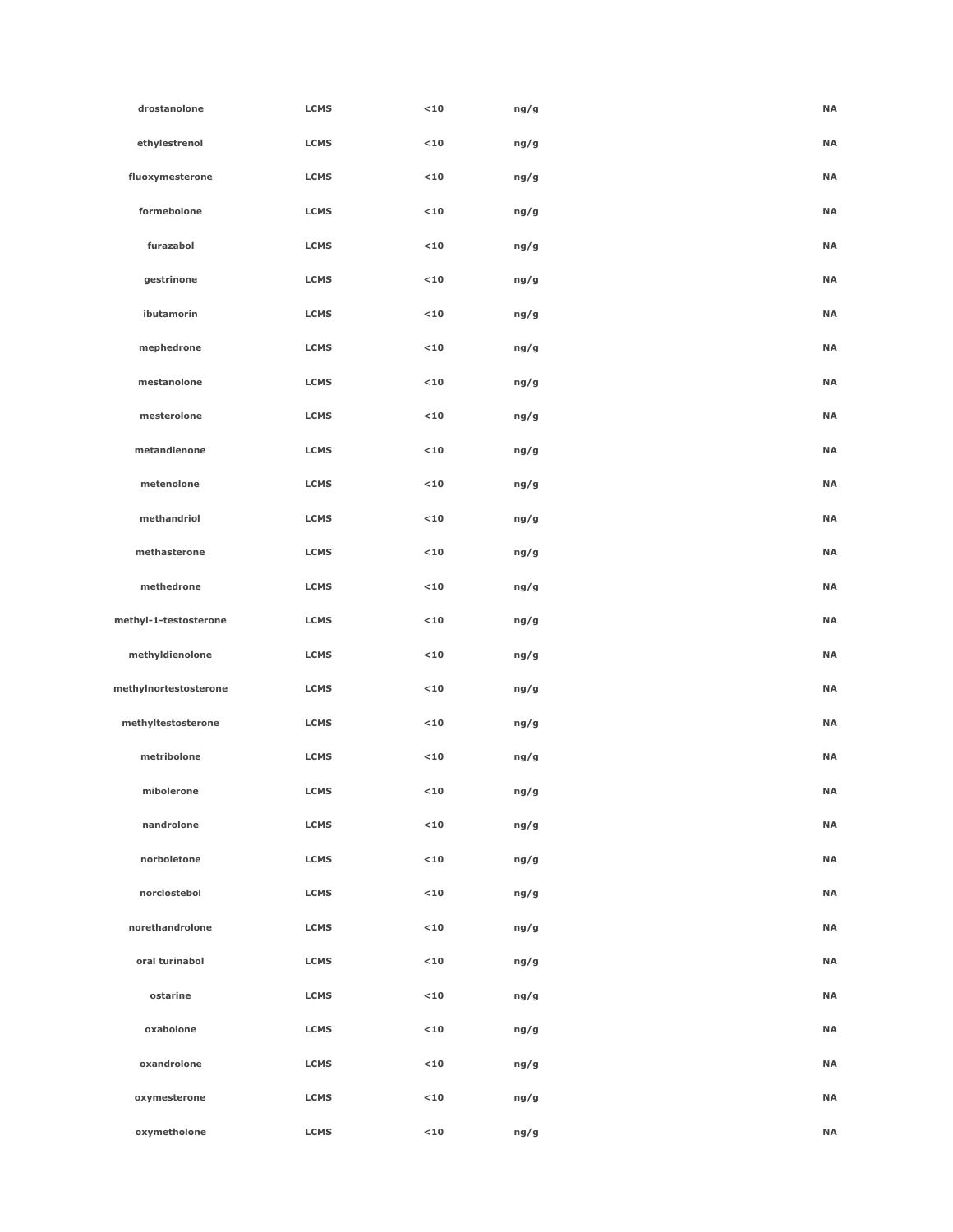| drostanolone          | <b>LCMS</b> | $10$        | ng/g | <b>NA</b> |
|-----------------------|-------------|-------------|------|-----------|
| ethylestrenol         | <b>LCMS</b> | $<$ 10 $\,$ | ng/g | <b>NA</b> |
| fluoxymesterone       | <b>LCMS</b> | $<$ 10 $\,$ | ng/g | <b>NA</b> |
| formebolone           | <b>LCMS</b> | $10$        | ng/g | <b>NA</b> |
| furazabol             | <b>LCMS</b> | $10$        | ng/g | <b>NA</b> |
| gestrinone            | <b>LCMS</b> | $<$ 10      | ng/g | <b>NA</b> |
| ibutamorin            | <b>LCMS</b> | $10$        | ng/g | <b>NA</b> |
| mephedrone            | <b>LCMS</b> | $<$ 10 $\,$ | ng/g | <b>NA</b> |
| mestanolone           | <b>LCMS</b> | $10$        | ng/g | <b>NA</b> |
| mesterolone           | <b>LCMS</b> | $10$        | ng/g | <b>NA</b> |
| metandienone          | <b>LCMS</b> | $10$        | ng/g | <b>NA</b> |
| metenolone            | <b>LCMS</b> | $<$ 10      | ng/g | <b>NA</b> |
| methandriol           | <b>LCMS</b> | $<$ 10 $\,$ | ng/g | <b>NA</b> |
| methasterone          | <b>LCMS</b> | $10$        | ng/g | <b>NA</b> |
| methedrone            | <b>LCMS</b> | $<$ 10 $\,$ | ng/g | <b>NA</b> |
| methyl-1-testosterone | <b>LCMS</b> | $<$ 10 $\,$ | ng/g | <b>NA</b> |
| methyldienolone       | <b>LCMS</b> | $10$        | ng/g | <b>NA</b> |
| methylnortestosterone | <b>LCMS</b> | $<$ 10 $\,$ | ng/g | <b>NA</b> |
| methyltestosterone    | <b>LCMS</b> | $10$        | ng/g | <b>NA</b> |
| metribolone           | <b>LCMS</b> | $10$        | ng/g | <b>NA</b> |
| mibolerone            | <b>LCMS</b> | $<$ 10      | ng/g | <b>NA</b> |
| nandrolone            | <b>LCMS</b> | $<$ 10      | ng/g | <b>NA</b> |
| norboletone           | <b>LCMS</b> | $<$ 10      | ng/g | <b>NA</b> |
| norclostebol          | <b>LCMS</b> | $<$ 10      | ng/g | <b>NA</b> |
| norethandrolone       | <b>LCMS</b> | $<$ 10      | ng/g | <b>NA</b> |
| oral turinabol        | <b>LCMS</b> | $<$ 10      | ng/g | <b>NA</b> |
| ostarine              | <b>LCMS</b> | $<$ 10      | ng/g | <b>NA</b> |
| oxabolone             | <b>LCMS</b> | $<$ 10      | ng/g | <b>NA</b> |
| oxandrolone           | <b>LCMS</b> | $<$ 10      | ng/g | <b>NA</b> |
| oxymesterone          | <b>LCMS</b> | $<$ 10      | ng/g | <b>NA</b> |
| oxymetholone          | <b>LCMS</b> | $<$ 10      | ng/g | <b>NA</b> |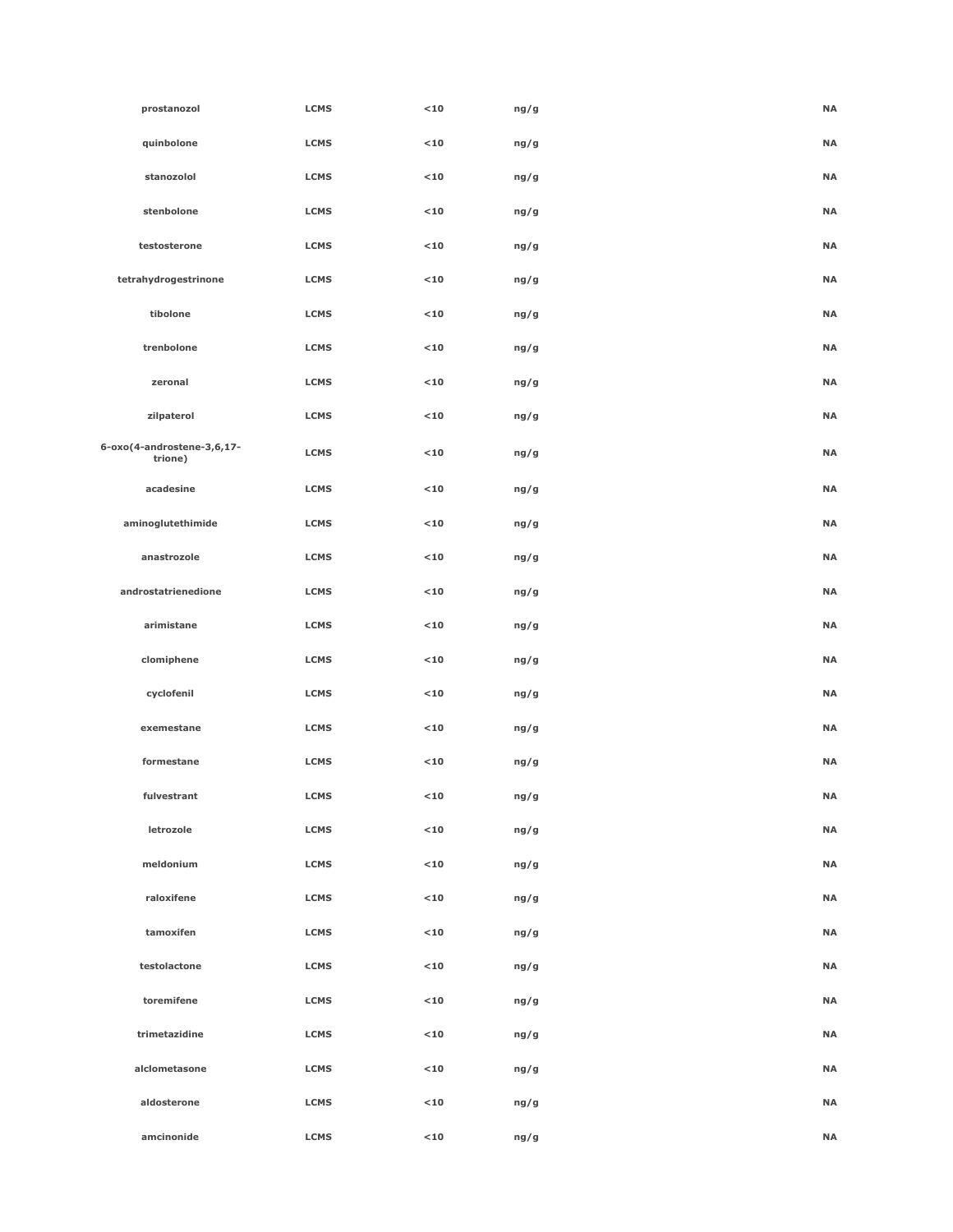| prostanozol                           | <b>LCMS</b> | $10$        | ng/g | <b>NA</b> |
|---------------------------------------|-------------|-------------|------|-----------|
| quinbolone                            | <b>LCMS</b> | $10$        | ng/g | <b>NA</b> |
| stanozolol                            | <b>LCMS</b> | $10$        | ng/g | <b>NA</b> |
| stenbolone                            | <b>LCMS</b> | $10$        | ng/g | <b>NA</b> |
| testosterone                          | <b>LCMS</b> | $10$        | ng/g | <b>NA</b> |
| tetrahydrogestrinone                  | <b>LCMS</b> | $10$        | ng/g | <b>NA</b> |
| tibolone                              | <b>LCMS</b> | $10$        | ng/g | <b>NA</b> |
| trenbolone                            | <b>LCMS</b> | $10$        | ng/g | <b>NA</b> |
| zeronal                               | <b>LCMS</b> | $<$ 10 $\,$ | ng/g | <b>NA</b> |
| zilpaterol                            | <b>LCMS</b> | $10$        | ng/g | <b>NA</b> |
| 6-oxo(4-androstene-3,6,17-<br>trione) | <b>LCMS</b> | $10$        | ng/g | <b>NA</b> |
| acadesine                             | <b>LCMS</b> | $10$        | ng/g | <b>NA</b> |
| aminoglutethimide                     | <b>LCMS</b> | $10$        | ng/g | <b>NA</b> |
| anastrozole                           | <b>LCMS</b> | $10$        | ng/g | <b>NA</b> |
| androstatrienedione                   | <b>LCMS</b> | $10$        | ng/g | <b>NA</b> |
| arimistane                            | <b>LCMS</b> | $10$        | ng/g | <b>NA</b> |
| clomiphene                            | <b>LCMS</b> | $10$        | ng/g | <b>NA</b> |
| cyclofenil                            | <b>LCMS</b> | $10$        | ng/g | <b>NA</b> |
| exemestane                            | <b>LCMS</b> | $10$        | ng/g | <b>NA</b> |
| formestane                            | <b>LCMS</b> | $10$        | ng/g | <b>NA</b> |
| fulvestrant                           | <b>LCMS</b> | $10$        | ng/g | <b>NA</b> |
| letrozole                             | <b>LCMS</b> | $<$ 10      | ng/g | $\sf NA$  |
| meldonium                             | <b>LCMS</b> | $<$ 10      | ng/g | <b>NA</b> |
| raloxifene                            | <b>LCMS</b> | $<$ 10      | ng/g | <b>NA</b> |
| tamoxifen                             | <b>LCMS</b> | $<$ 10      | ng/g | <b>NA</b> |
| testolactone                          | <b>LCMS</b> | $<$ 10      | ng/g | $\sf NA$  |
| toremifene                            | <b>LCMS</b> | $<$ 10      | ng/g | $\sf NA$  |
| trimetazidine                         | <b>LCMS</b> | $<$ 10      | ng/g | <b>NA</b> |
| alclometasone                         | <b>LCMS</b> | $<$ 10      | ng/g | <b>NA</b> |
| aldosterone                           | <b>LCMS</b> | $<$ 10      | ng/g | <b>NA</b> |
| amcinonide                            | <b>LCMS</b> | $<$ 10      | ng/g | <b>NA</b> |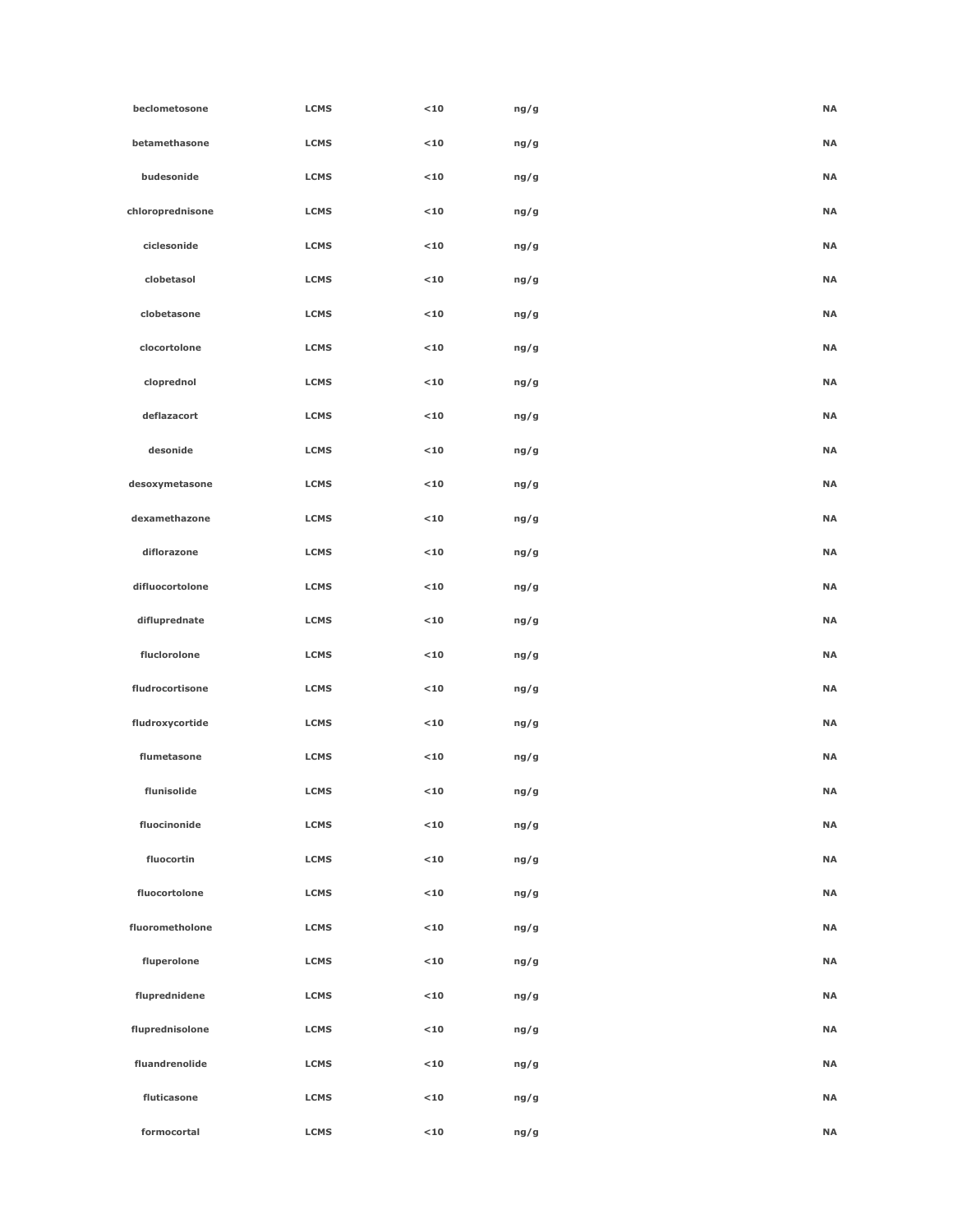| beclometosone    | <b>LCMS</b> | $<$ 10 | ng/g | <b>NA</b> |  |
|------------------|-------------|--------|------|-----------|--|
| betamethasone    | <b>LCMS</b> | $10$   | ng/g | <b>NA</b> |  |
| budesonide       | <b>LCMS</b> | $<$ 10 | ng/g | <b>NA</b> |  |
| chloroprednisone | <b>LCMS</b> | $<$ 10 | ng/g | <b>NA</b> |  |
| ciclesonide      | <b>LCMS</b> | $10$   | ng/g | <b>NA</b> |  |
| clobetasol       | <b>LCMS</b> | $<$ 10 | ng/g | <b>NA</b> |  |
| clobetasone      | <b>LCMS</b> | $<$ 10 | ng/g | <b>NA</b> |  |
| clocortolone     | <b>LCMS</b> | $10$   | ng/g | <b>NA</b> |  |
| cloprednol       | <b>LCMS</b> | $<$ 10 | ng/g | <b>NA</b> |  |
| deflazacort      | <b>LCMS</b> | $10$   | ng/g | <b>NA</b> |  |
| desonide         | <b>LCMS</b> | $<$ 10 | ng/g | <b>NA</b> |  |
| desoxymetasone   | <b>LCMS</b> | $<$ 10 | ng/g | <b>NA</b> |  |
| dexamethazone    | <b>LCMS</b> | $<$ 10 | ng/g | <b>NA</b> |  |
| diflorazone      | <b>LCMS</b> | $<$ 10 | ng/g | <b>NA</b> |  |
| difluocortolone  | <b>LCMS</b> | $<$ 10 | ng/g | <b>NA</b> |  |
| difluprednate    | <b>LCMS</b> | $<$ 10 | ng/g | <b>NA</b> |  |
| fluclorolone     | <b>LCMS</b> | $<$ 10 | ng/g | <b>NA</b> |  |
| fludrocortisone  | <b>LCMS</b> | $<$ 10 | ng/g | <b>NA</b> |  |
| fludroxycortide  | <b>LCMS</b> | $<$ 10 | ng/g | <b>NA</b> |  |
| flumetasone      | <b>LCMS</b> | $<$ 10 | ng/g | <b>NA</b> |  |
| flunisolide      | <b>LCMS</b> | $10$   | ng/g | <b>NA</b> |  |
| fluocinonide     | <b>LCMS</b> | $10$   | ng/g | <b>NA</b> |  |
| fluocortin       | <b>LCMS</b> | $<$ 10 | ng/g | <b>NA</b> |  |
| fluocortolone    | <b>LCMS</b> | $<$ 10 | ng/g | <b>NA</b> |  |
| fluorometholone  | <b>LCMS</b> | $<$ 10 | ng/g | <b>NA</b> |  |
| fluperolone      | <b>LCMS</b> | $10$   | ng/g | <b>NA</b> |  |
| fluprednidene    | <b>LCMS</b> | $<$ 10 | ng/g | <b>NA</b> |  |
| fluprednisolone  | <b>LCMS</b> | $10$   | ng/g | <b>NA</b> |  |
| fluandrenolide   | <b>LCMS</b> | $<$ 10 | ng/g | <b>NA</b> |  |
| fluticasone      | <b>LCMS</b> | $<$ 10 | ng/g | <b>NA</b> |  |
| formocortal      | <b>LCMS</b> | $<$ 10 | ng/g | <b>NA</b> |  |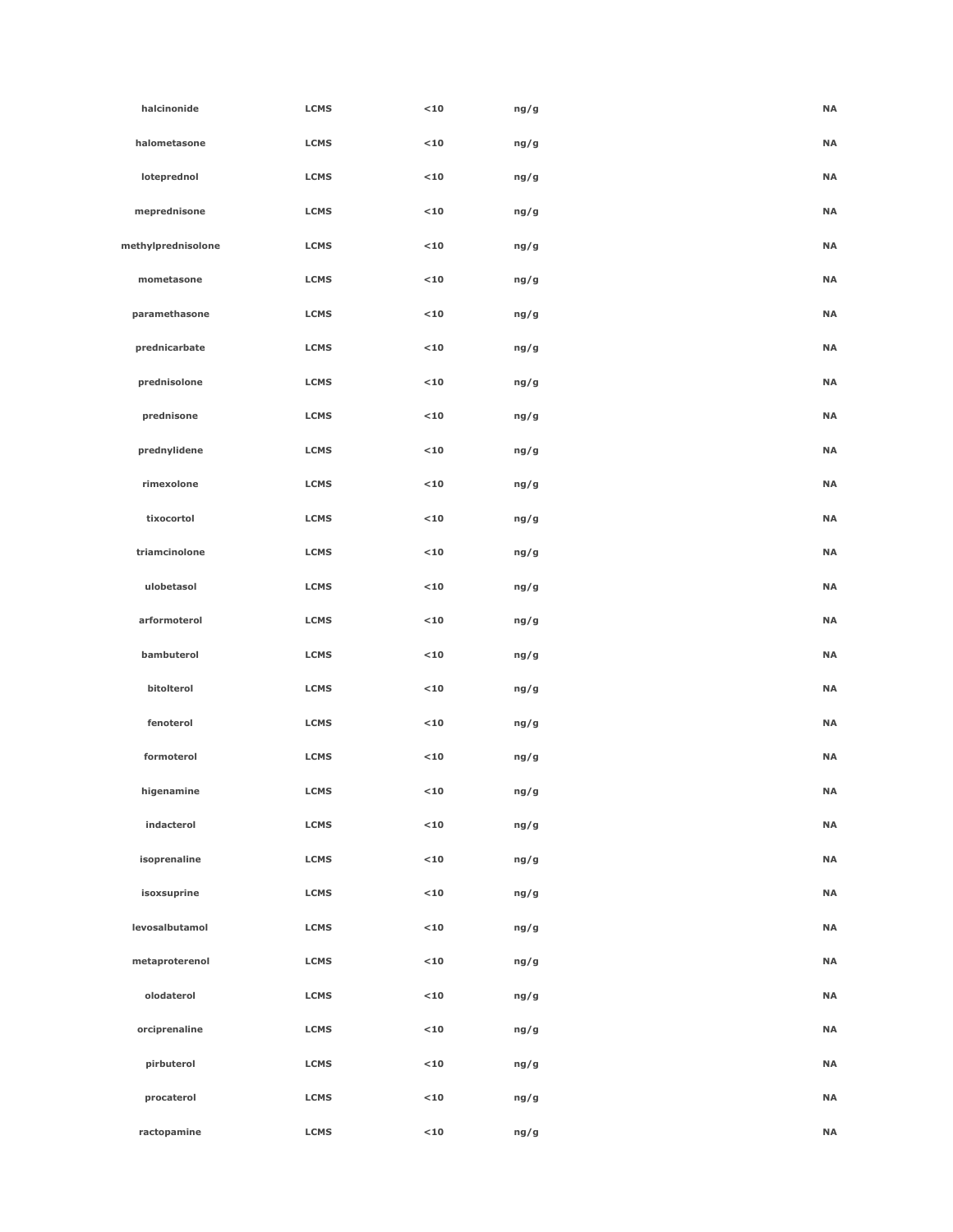| halcinonide        | <b>LCMS</b> | $10$   | ng/g | <b>NA</b> |
|--------------------|-------------|--------|------|-----------|
| halometasone       | <b>LCMS</b> | $10$   | ng/g | <b>NA</b> |
| loteprednol        | <b>LCMS</b> | $10$   | ng/g | <b>NA</b> |
| meprednisone       | <b>LCMS</b> | $10$   | ng/g | <b>NA</b> |
| methylprednisolone | <b>LCMS</b> | $10$   | ng/g | <b>NA</b> |
| mometasone         | <b>LCMS</b> | $10$   | ng/g | <b>NA</b> |
| paramethasone      | <b>LCMS</b> | $10$   | ng/g | <b>NA</b> |
| prednicarbate      | <b>LCMS</b> | $10$   | ng/g | <b>NA</b> |
| prednisolone       | <b>LCMS</b> | $10$   | ng/g | <b>NA</b> |
| prednisone         | <b>LCMS</b> | $10$   | ng/g | <b>NA</b> |
| prednylidene       | <b>LCMS</b> | $10$   | ng/g | <b>NA</b> |
| rimexolone         | <b>LCMS</b> | $10$   | ng/g | <b>NA</b> |
| tixocortol         | <b>LCMS</b> | $10$   | ng/g | <b>NA</b> |
| triamcinolone      | <b>LCMS</b> | $10$   | ng/g | <b>NA</b> |
| ulobetasol         | <b>LCMS</b> | $10$   | ng/g | <b>NA</b> |
| arformoterol       | <b>LCMS</b> | $10$   | ng/g | <b>NA</b> |
| bambuterol         | <b>LCMS</b> | $10$   | ng/g | <b>NA</b> |
| bitolterol         | <b>LCMS</b> | $10$   | ng/g | <b>NA</b> |
| fenoterol          | <b>LCMS</b> | $10$   | ng/g | <b>NA</b> |
| formoterol         | <b>LCMS</b> | $10$   | ng/g | <b>NA</b> |
| higenamine         | <b>LCMS</b> | $<$ 10 | ng/g | <b>NA</b> |
| indacterol         | <b>LCMS</b> | $<$ 10 | ng/g | <b>NA</b> |
| isoprenaline       | <b>LCMS</b> | $<$ 10 | ng/g | <b>NA</b> |
| isoxsuprine        | <b>LCMS</b> | $<$ 10 | ng/g | <b>NA</b> |
| levosalbutamol     | <b>LCMS</b> | $<$ 10 | ng/g | <b>NA</b> |
| metaproterenol     | <b>LCMS</b> | $<$ 10 | ng/g | <b>NA</b> |
| olodaterol         | <b>LCMS</b> | $<$ 10 | ng/g | <b>NA</b> |
| orciprenaline      | <b>LCMS</b> | $<$ 10 | ng/g | <b>NA</b> |
| pirbuterol         | <b>LCMS</b> | $<$ 10 | ng/g | <b>NA</b> |
| procaterol         | <b>LCMS</b> | $<$ 10 | ng/g | <b>NA</b> |
| ractopamine        | <b>LCMS</b> | $10$   | ng/g | <b>NA</b> |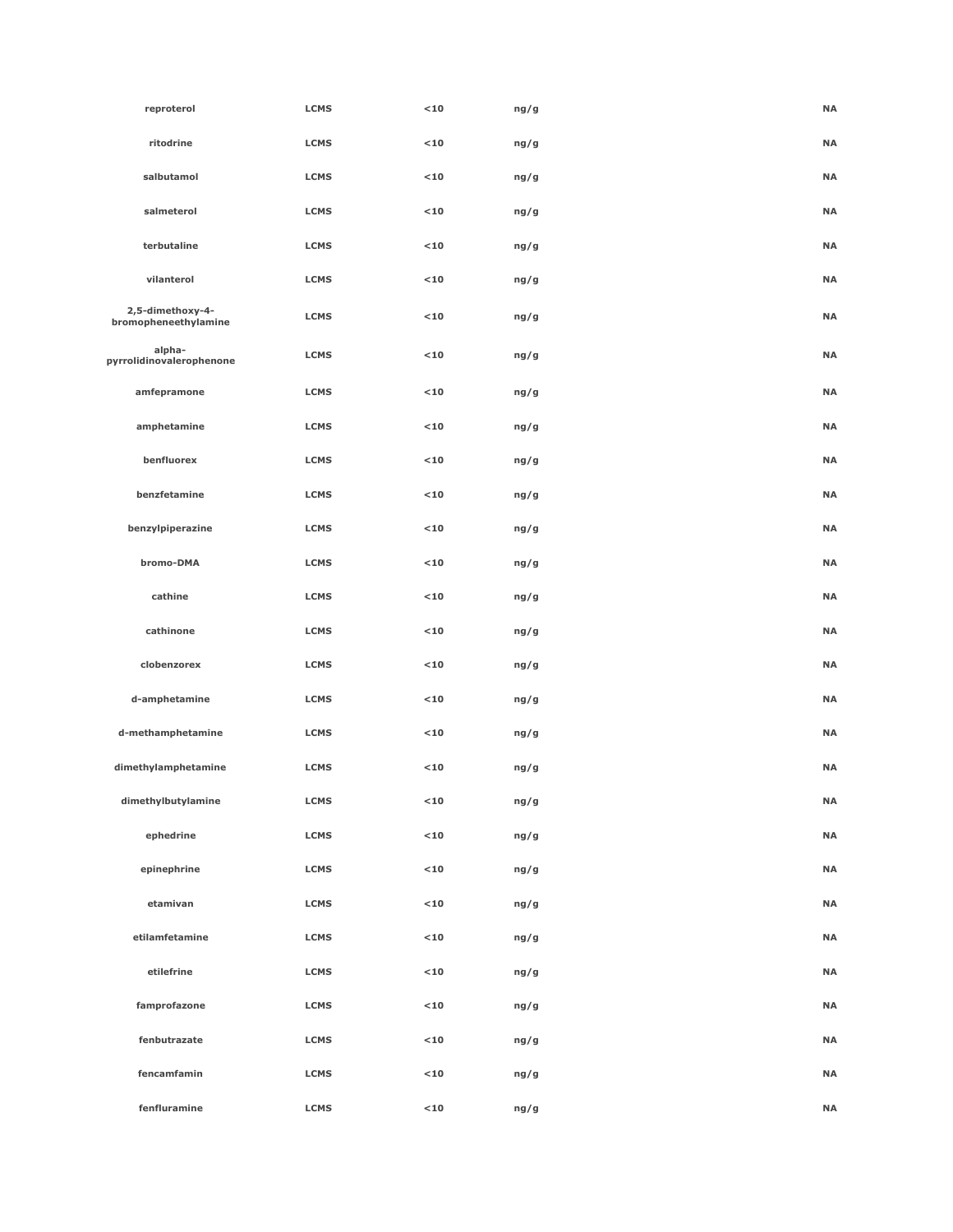| reproterol                               | <b>LCMS</b> | $10$        | ng/g | <b>NA</b> |
|------------------------------------------|-------------|-------------|------|-----------|
| ritodrine                                | <b>LCMS</b> | $10$        | ng/g | <b>NA</b> |
| salbutamol                               | <b>LCMS</b> | $10$        | ng/g | <b>NA</b> |
| salmeterol                               | <b>LCMS</b> | $10$        | ng/g | <b>NA</b> |
| terbutaline                              | <b>LCMS</b> | $10$        | ng/g | <b>NA</b> |
| vilanterol                               | <b>LCMS</b> | $10$        | ng/g | <b>NA</b> |
| 2,5-dimethoxy-4-<br>bromopheneethylamine | <b>LCMS</b> | $10$        | ng/g | <b>NA</b> |
| alpha-<br>pyrrolidinovalerophenone       | <b>LCMS</b> | $10$        | ng/g | <b>NA</b> |
| amfepramone                              | <b>LCMS</b> | $10$        | ng/g | <b>NA</b> |
| amphetamine                              | <b>LCMS</b> | $10$        | ng/g | <b>NA</b> |
| benfluorex                               | <b>LCMS</b> | $10$        | ng/g | <b>NA</b> |
| benzfetamine                             | <b>LCMS</b> | $10$        | ng/g | <b>NA</b> |
| benzylpiperazine                         | <b>LCMS</b> | $10$        | ng/g | <b>NA</b> |
| bromo-DMA                                | <b>LCMS</b> | $10$        | ng/g | <b>NA</b> |
| cathine                                  | <b>LCMS</b> | $10$        | ng/g | <b>NA</b> |
| cathinone                                | <b>LCMS</b> | $10$        | ng/g | <b>NA</b> |
| clobenzorex                              | <b>LCMS</b> | $10$        | ng/g | <b>NA</b> |
| d-amphetamine                            | <b>LCMS</b> | $10$        | ng/g | <b>NA</b> |
| d-methamphetamine                        | <b>LCMS</b> | $10$        | ng/g | <b>NA</b> |
| dimethylamphetamine                      | <b>LCMS</b> | $10$        | ng/g | <b>NA</b> |
| dimethylbutylamine                       | <b>LCMS</b> | $10$        | ng/g | <b>NA</b> |
| ephedrine                                | <b>LCMS</b> | $<$ 10 $\,$ | ng/g | <b>NA</b> |
| epinephrine                              | <b>LCMS</b> | $<$ 10      | ng/g | <b>NA</b> |
| etamivan                                 | <b>LCMS</b> | $<$ 10 $\,$ | ng/g | <b>NA</b> |
| etilamfetamine                           | <b>LCMS</b> | $10$        | ng/g | <b>NA</b> |
| etilefrine                               | <b>LCMS</b> | $10$        | ng/g | <b>NA</b> |
| famprofazone                             | <b>LCMS</b> | $10$        | ng/g | <b>NA</b> |
| fenbutrazate                             | <b>LCMS</b> | $10$        | ng/g | <b>NA</b> |
| fencamfamin                              | <b>LCMS</b> | $<$ 10      | ng/g | <b>NA</b> |
| fenfluramine                             | <b>LCMS</b> | $<$ 10      | ng/g | <b>NA</b> |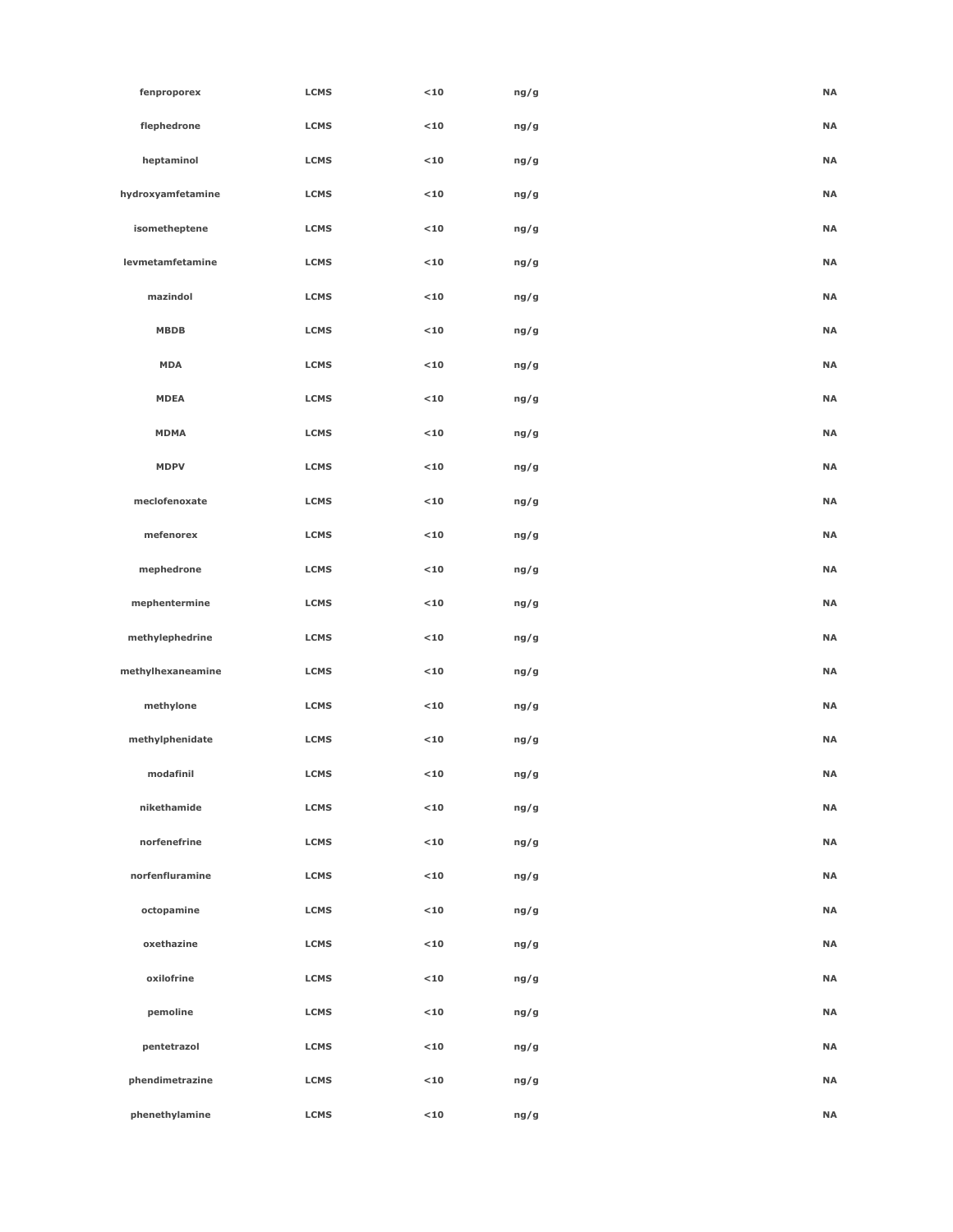| fenproporex       | <b>LCMS</b> | $10$        | ng/g | <b>NA</b> |
|-------------------|-------------|-------------|------|-----------|
| flephedrone       | <b>LCMS</b> | $<$ 10 $\,$ | ng/g | <b>NA</b> |
| heptaminol        | <b>LCMS</b> | $10$        | ng/g | <b>NA</b> |
| hydroxyamfetamine | <b>LCMS</b> | $10$        | ng/g | <b>NA</b> |
| isometheptene     | <b>LCMS</b> | $10$        | ng/g | <b>NA</b> |
| levmetamfetamine  | <b>LCMS</b> | $10$        | ng/g | <b>NA</b> |
| mazindol          | <b>LCMS</b> | $10$        | ng/g | <b>NA</b> |
| <b>MBDB</b>       | <b>LCMS</b> | $10$        | ng/g | <b>NA</b> |
| <b>MDA</b>        | <b>LCMS</b> | $10$        | ng/g | <b>NA</b> |
| <b>MDEA</b>       | <b>LCMS</b> | $10$        | ng/g | <b>NA</b> |
| <b>MDMA</b>       | <b>LCMS</b> | $10$        | ng/g | <b>NA</b> |
| <b>MDPV</b>       | <b>LCMS</b> | $10$        | ng/g | <b>NA</b> |
| meclofenoxate     | <b>LCMS</b> | $10$        | ng/g | <b>NA</b> |
| mefenorex         | <b>LCMS</b> | $10$        | ng/g | <b>NA</b> |
| mephedrone        | <b>LCMS</b> | $10$        | ng/g | <b>NA</b> |
| mephentermine     | <b>LCMS</b> | $10$        | ng/g | <b>NA</b> |
| methylephedrine   | <b>LCMS</b> | $10$        | ng/g | <b>NA</b> |
| methylhexaneamine | <b>LCMS</b> | $10$        | ng/g | <b>NA</b> |
| methylone         | <b>LCMS</b> | $10$        | ng/g | <b>NA</b> |
| methylphenidate   | <b>LCMS</b> | $10$        | ng/g | <b>NA</b> |
| modafinil         | <b>LCMS</b> | $10$        | ng/g | <b>NA</b> |
| nikethamide       | <b>LCMS</b> | $10$        | ng/g | <b>NA</b> |
| norfenefrine      | <b>LCMS</b> | $<$ 10      | ng/g | <b>NA</b> |
| norfenfluramine   | <b>LCMS</b> | $10$        | ng/g | <b>NA</b> |
| octopamine        | <b>LCMS</b> | $10$        | ng/g | <b>NA</b> |
| oxethazine        | <b>LCMS</b> | $10$        | ng/g | <b>NA</b> |
| oxilofrine        | <b>LCMS</b> | $10$        | ng/g | <b>NA</b> |
| pemoline          | <b>LCMS</b> | $<$ 10      | ng/g | <b>NA</b> |
| pentetrazol       | <b>LCMS</b> | $<$ 10      | ng/g | <b>NA</b> |
| phendimetrazine   | <b>LCMS</b> | $10$        | ng/g | <b>NA</b> |
| phenethylamine    | <b>LCMS</b> | $<$ 10      | ng/g | <b>NA</b> |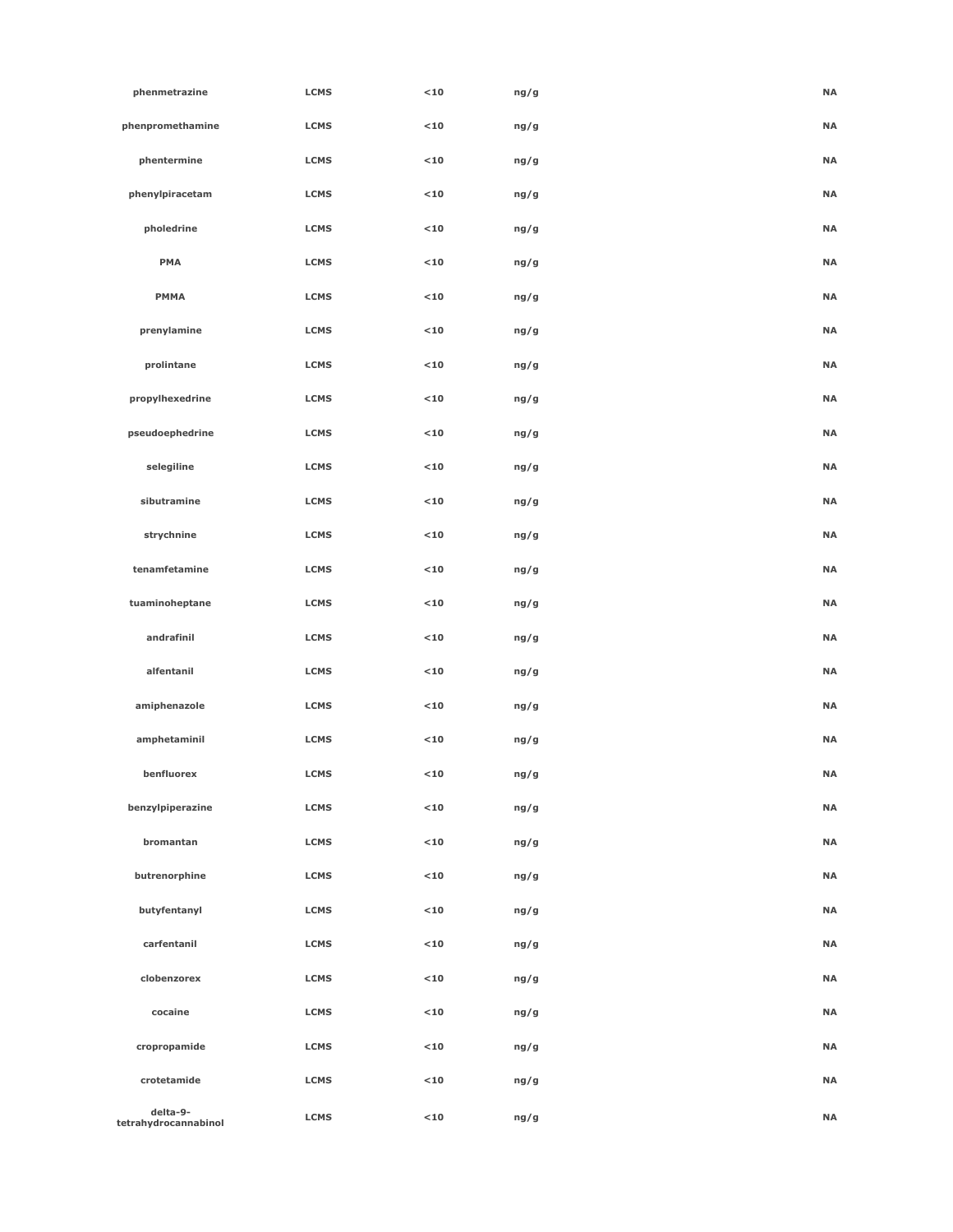| phenmetrazine                    | <b>LCMS</b> | $10$        | ng/g | <b>NA</b> |
|----------------------------------|-------------|-------------|------|-----------|
| phenpromethamine                 | <b>LCMS</b> | $<$ 10 $\,$ | ng/g | <b>NA</b> |
| phentermine                      | <b>LCMS</b> | $10$        | ng/g | <b>NA</b> |
| phenylpiracetam                  | <b>LCMS</b> | $10$        | ng/g | <b>NA</b> |
| pholedrine                       | <b>LCMS</b> | $10$        | ng/g | <b>NA</b> |
| <b>PMA</b>                       | <b>LCMS</b> | $10$        | ng/g | <b>NA</b> |
| <b>PMMA</b>                      | <b>LCMS</b> | $10$        | ng/g | <b>NA</b> |
| prenylamine                      | <b>LCMS</b> | $10$        | ng/g | <b>NA</b> |
| prolintane                       | <b>LCMS</b> | $10$        | ng/g | <b>NA</b> |
| propylhexedrine                  | <b>LCMS</b> | $10$        | ng/g | <b>NA</b> |
| pseudoephedrine                  | <b>LCMS</b> | $10$        | ng/g | <b>NA</b> |
| selegiline                       | <b>LCMS</b> | $10$        | ng/g | <b>NA</b> |
| sibutramine                      | <b>LCMS</b> | $10$        | ng/g | <b>NA</b> |
| strychnine                       | <b>LCMS</b> | $10$        | ng/g | <b>NA</b> |
| tenamfetamine                    | <b>LCMS</b> | $10$        | ng/g | <b>NA</b> |
| tuaminoheptane                   | <b>LCMS</b> | $10$        | ng/g | <b>NA</b> |
| andrafinil                       | <b>LCMS</b> | $10$        | ng/g | <b>NA</b> |
| alfentanil                       | <b>LCMS</b> | $10$        | ng/g | <b>NA</b> |
| amiphenazole                     | <b>LCMS</b> | $10$        | ng/g | <b>NA</b> |
| amphetaminil                     | <b>LCMS</b> | $10$        | ng/g | <b>NA</b> |
| benfluorex                       | <b>LCMS</b> | $10$        | ng/g | <b>NA</b> |
| benzylpiperazine                 | <b>LCMS</b> | $10$        | ng/g | <b>NA</b> |
| bromantan                        | <b>LCMS</b> | $10$        | ng/g | <b>NA</b> |
| butrenorphine                    | <b>LCMS</b> | $10$        | ng/g | <b>NA</b> |
| butyfentanyl                     | <b>LCMS</b> | $10$        | ng/g | <b>NA</b> |
| carfentanil                      | <b>LCMS</b> | $10$        | ng/g | <b>NA</b> |
| clobenzorex                      | <b>LCMS</b> | $10$        | ng/g | <b>NA</b> |
| cocaine                          | <b>LCMS</b> | $10$        | ng/g | <b>NA</b> |
| cropropamide                     | <b>LCMS</b> | $10$        | ng/g | <b>NA</b> |
| crotetamide                      | <b>LCMS</b> | $10$        | ng/g | <b>NA</b> |
| delta-9-<br>tetrahydrocannabinol | <b>LCMS</b> | $10$        | ng/g | <b>NA</b> |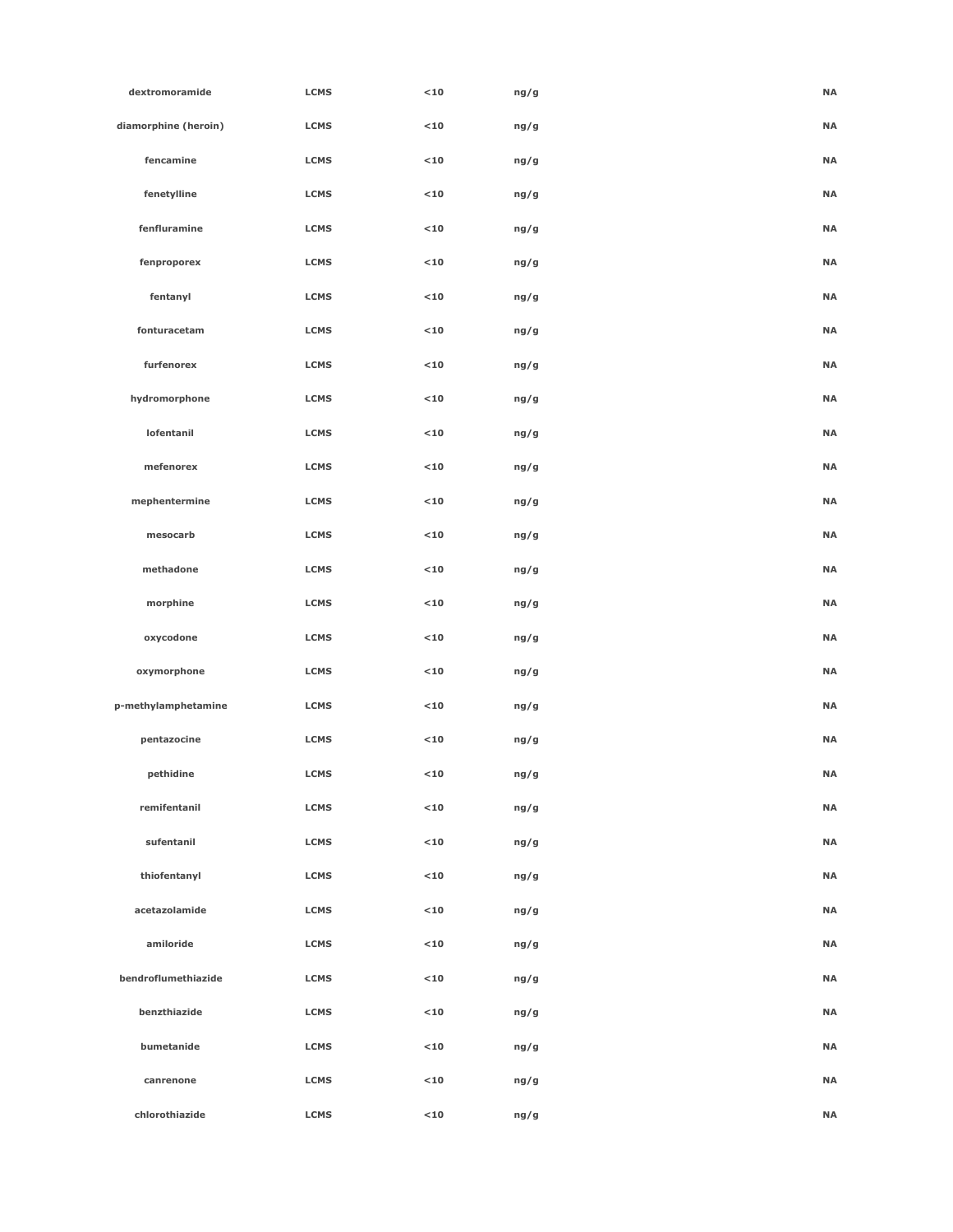| dextromoramide       | <b>LCMS</b> | $10$   | ng/g | <b>NA</b> |  |
|----------------------|-------------|--------|------|-----------|--|
| diamorphine (heroin) | <b>LCMS</b> | $<$ 10 | ng/g | <b>NA</b> |  |
| fencamine            | <b>LCMS</b> | $<$ 10 | ng/g | <b>NA</b> |  |
| fenetylline          | <b>LCMS</b> | $10$   | ng/g | <b>NA</b> |  |
| fenfluramine         | <b>LCMS</b> | $10$   | ng/g | <b>NA</b> |  |
| fenproporex          | <b>LCMS</b> | $10$   | ng/g | <b>NA</b> |  |
| fentanyl             | <b>LCMS</b> | $<$ 10 | ng/g | <b>NA</b> |  |
| fonturacetam         | <b>LCMS</b> | $<$ 10 | ng/g | <b>NA</b> |  |
| furfenorex           | <b>LCMS</b> | $<$ 10 | ng/g | <b>NA</b> |  |
| hydromorphone        | <b>LCMS</b> | $<$ 10 | ng/g | <b>NA</b> |  |
| lofentanil           | <b>LCMS</b> | $<$ 10 | ng/g | <b>NA</b> |  |
| mefenorex            | <b>LCMS</b> | $<$ 10 | ng/g | <b>NA</b> |  |
| mephentermine        | <b>LCMS</b> | $10$   | ng/g | <b>NA</b> |  |
| mesocarb             | <b>LCMS</b> | $<$ 10 | ng/g | <b>NA</b> |  |
| methadone            | <b>LCMS</b> | $<$ 10 | ng/g | <b>NA</b> |  |
| morphine             | <b>LCMS</b> | $10$   | ng/g | <b>NA</b> |  |
| oxycodone            | <b>LCMS</b> | $<$ 10 | ng/g | <b>NA</b> |  |
| oxymorphone          | <b>LCMS</b> | $10$   | ng/g | <b>NA</b> |  |
| p-methylamphetamine  | <b>LCMS</b> | $10$   | ng/g | <b>NA</b> |  |
| pentazocine          | <b>LCMS</b> | $10$   | ng/g | <b>NA</b> |  |
| pethidine            | <b>LCMS</b> | $<10$  | ng/g | <b>NA</b> |  |
| remifentanil         | <b>LCMS</b> | $10$   | ng/g | <b>NA</b> |  |
| sufentanil           | <b>LCMS</b> | $<$ 10 | ng/g | <b>NA</b> |  |
| thiofentanyl         | <b>LCMS</b> | $10$   | ng/g | <b>NA</b> |  |
| acetazolamide        | <b>LCMS</b> | $<$ 10 | ng/g | <b>NA</b> |  |
| amiloride            | <b>LCMS</b> | $<$ 10 | ng/g | <b>NA</b> |  |
| bendroflumethiazide  | <b>LCMS</b> | $10$   | ng/g | <b>NA</b> |  |
| benzthiazide         | <b>LCMS</b> | $<$ 10 | ng/g | <b>NA</b> |  |
| bumetanide           | <b>LCMS</b> | $<$ 10 | ng/g | <b>NA</b> |  |
| canrenone            | <b>LCMS</b> | $<$ 10 | ng/g | <b>NA</b> |  |
| chlorothiazide       | <b>LCMS</b> | $<$ 10 | ng/g | <b>NA</b> |  |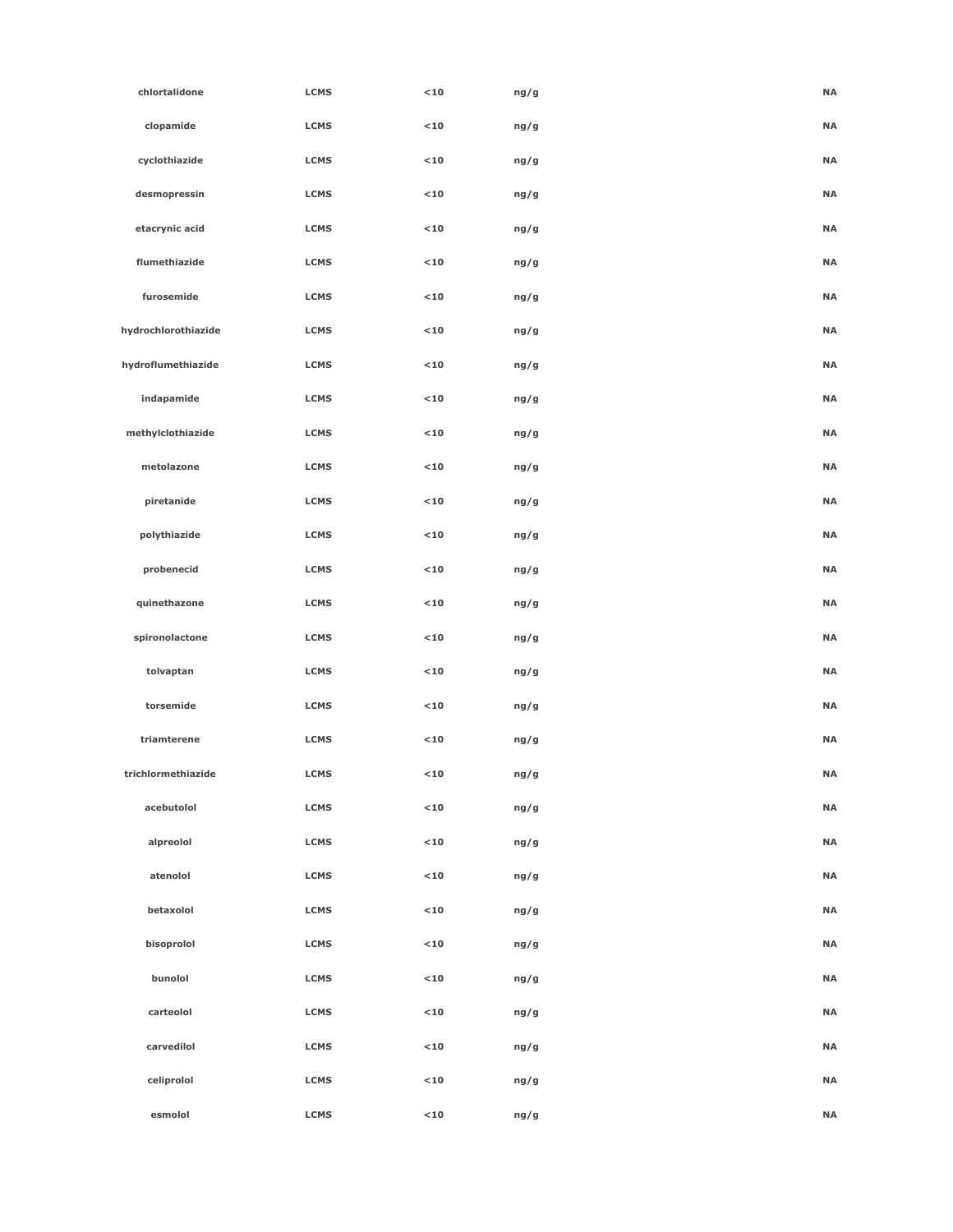| chlortalidone       | <b>LCMS</b> | $10$        | ng/g | <b>NA</b> |
|---------------------|-------------|-------------|------|-----------|
| clopamide           | <b>LCMS</b> | $<$ 10 $\,$ | ng/g | <b>NA</b> |
| cyclothiazide       | <b>LCMS</b> | $10$        | ng/g | <b>NA</b> |
| desmopressin        | <b>LCMS</b> | $10$        | ng/g | <b>NA</b> |
| etacrynic acid      | <b>LCMS</b> | $10$        | ng/g | <b>NA</b> |
| flumethiazide       | <b>LCMS</b> | $10$        | ng/g | <b>NA</b> |
| furosemide          | <b>LCMS</b> | $10$        | ng/g | <b>NA</b> |
| hydrochlorothiazide | <b>LCMS</b> | $10$        | ng/g | <b>NA</b> |
| hydroflumethiazide  | <b>LCMS</b> | $10$        | ng/g | <b>NA</b> |
| indapamide          | <b>LCMS</b> | $10$        | ng/g | <b>NA</b> |
| methylclothiazide   | <b>LCMS</b> | $10$        | ng/g | <b>NA</b> |
| metolazone          | <b>LCMS</b> | $10$        | ng/g | <b>NA</b> |
| piretanide          | <b>LCMS</b> | $10$        | ng/g | <b>NA</b> |
| polythiazide        | <b>LCMS</b> | $10$        | ng/g | $\sf NA$  |
| probenecid          | <b>LCMS</b> | $<$ 10 $\,$ | ng/g | <b>NA</b> |
| quinethazone        | <b>LCMS</b> | $10$        | ng/g | <b>NA</b> |
| spironolactone      | <b>LCMS</b> | $10$        | ng/g | <b>NA</b> |
| tolvaptan           | <b>LCMS</b> | $10$        | ng/g | <b>NA</b> |
| torsemide           | <b>LCMS</b> | $10$        | ng/g | <b>NA</b> |
| triamterene         | <b>LCMS</b> | $10$        | ng/g | <b>NA</b> |
| trichlormethiazide  | <b>LCMS</b> | $10$        | ng/g | <b>NA</b> |
| acebutolol          | <b>LCMS</b> | $10$        | ng/g | <b>NA</b> |
| alpreolol           | <b>LCMS</b> | $<$ 10      | ng/g | $\sf NA$  |
| atenolol            | <b>LCMS</b> | $<$ 10      | ng/g | <b>NA</b> |
| betaxolol           | <b>LCMS</b> | $<$ 10 $\,$ | ng/g | <b>NA</b> |
| bisoprolol          | <b>LCMS</b> | $10$        | ng/g | <b>NA</b> |
| bunolol             | <b>LCMS</b> | $10$        | ng/g | <b>NA</b> |
| carteolol           | <b>LCMS</b> | $<$ 10      | ng/g | <b>NA</b> |
| carvedilol          | <b>LCMS</b> | $<$ 10      | ng/g | <b>NA</b> |
| celiprolol          | <b>LCMS</b> | $10$        | ng/g | $\sf NA$  |
| esmolol             | LCMS        | $<$ 10      | ng/g | <b>NA</b> |